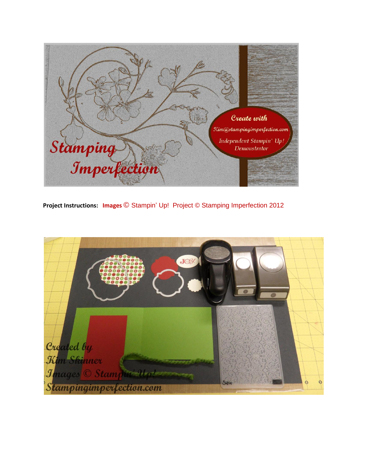

**Project Instructions: Images** © Stampin' Up! Project © Stamping Imperfection 2012

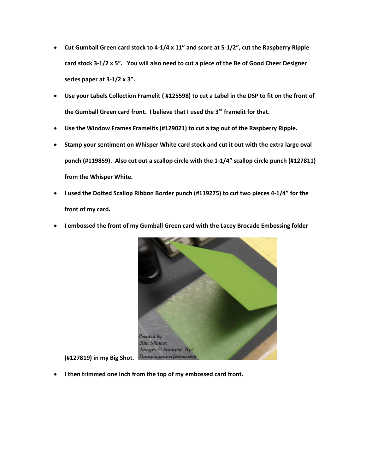- **Cut Gumball Green card stock to 4-1/4 x 11" and score at 5-1/2", cut the Raspberry Ripple card stock 3-1/2 x 5". You will also need to cut a piece of the Be of Good Cheer Designer series paper at 3-1/2 x 3".**
- **Use your Labels Collection Framelit ( #125598) to cut a Label in the DSP to fit on the front of the Gumball Green card front. I believe that I used the 3rd framelit for that.**
- **Use the Window Frames Framelits (#129021) to cut a tag out of the Raspberry Ripple.**
- **Stamp your sentiment on Whisper White card stock and cut it out with the extra large oval punch (#119859). Also cut out a scallop circle with the 1-1/4" scallop circle punch (#127811) from the Whisper White.**
- **I used the Dotted Scallop Ribbon Border punch (#119275) to cut two pieces 4-1/4" for the front of my card.**
- **I embossed the front of my Gumball Green card with the Lacey Brocade Embossing folder**



**I then trimmed one inch from the top of my embossed card front.**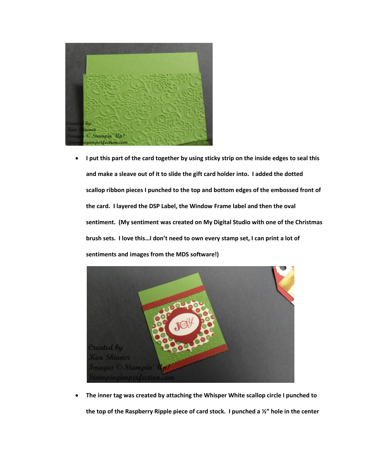

 **I put this part of the card together by using sticky strip on the inside edges to seal this and make a sleave out of it to slide the gift card holder into. I added the dotted scallop ribbon pieces I punched to the top and bottom edges of the embossed front of the card. I layered the DSP Label, the Window Frame label and then the oval sentiment. (My sentiment was created on My Digital Studio with one of the Christmas brush sets. I love this…I don't need to own every stamp set, I can print a lot of sentiments and images from the MDS software!)**



 **The inner tag was created by attaching the Whisper White scallop circle I punched to the top of the Raspberry Ripple piece of card stock. I punched a ½" hole in the center**